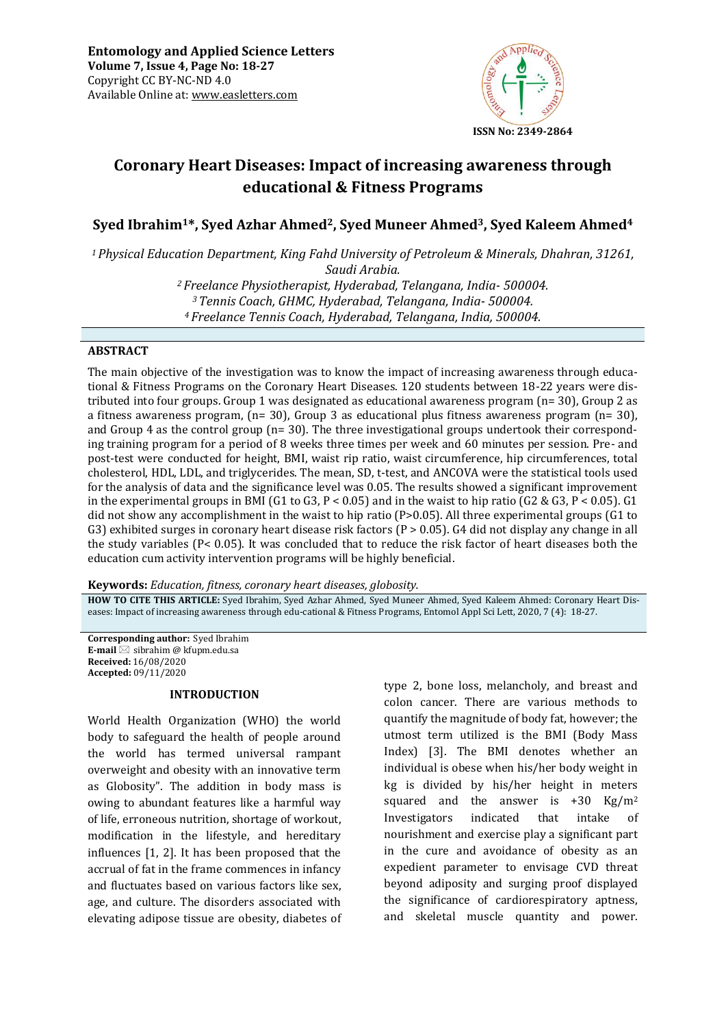

# **Coronary Heart Diseases: Impact of increasing awareness through educational & Fitness Programs**

**Syed Ibrahim1\*, Syed Azhar Ahmed2, Syed Muneer Ahmed3, Syed Kaleem Ahmed<sup>4</sup>**

*<sup>1</sup>Physical Education Department, King Fahd University of Petroleum & Minerals, Dhahran, 31261, Saudi Arabia.* 

> *<sup>2</sup>Freelance Physiotherapist, Hyderabad, Telangana, India- 500004. <sup>3</sup>Tennis Coach, GHMC, Hyderabad, Telangana, India- 500004. <sup>4</sup>Freelance Tennis Coach, Hyderabad, Telangana, India, 500004.*

## **ABSTRACT**

The main objective of the investigation was to know the impact of increasing awareness through educational & Fitness Programs on the Coronary Heart Diseases. 120 students between 18-22 years were distributed into four groups. Group 1 was designated as educational awareness program (n= 30), Group 2 as a fitness awareness program,  $(n= 30)$ , Group 3 as educational plus fitness awareness program  $(n= 30)$ , and Group 4 as the control group (n= 30). The three investigational groups undertook their corresponding training program for a period of 8 weeks three times per week and 60 minutes per session. Pre- and post-test were conducted for height, BMI, waist rip ratio, waist circumference, hip circumferences, total cholesterol, HDL, LDL, and triglycerides. The mean, SD, t-test, and ANCOVA were the statistical tools used for the analysis of data and the significance level was 0.05. The results showed a significant improvement in the experimental groups in BMI (G1 to G3, P < 0.05) and in the waist to hip ratio (G2 & G3, P < 0.05). G1 did not show any accomplishment in the waist to hip ratio (P>0.05). All three experimental groups (G1 to G3) exhibited surges in coronary heart disease risk factors ( $P > 0.05$ ). G4 did not display any change in all the study variables (P< 0.05). It was concluded that to reduce the risk factor of heart diseases both the education cum activity intervention programs will be highly beneficial.

**Keywords:** *Education, fitness, coronary heart diseases, globosity.*

**HOW TO CITE THIS ARTICLE:** Syed Ibrahim, Syed Azhar Ahmed, Syed Muneer Ahmed, Syed Kaleem Ahmed: Coronary Heart Diseases: Impact of increasing awareness through edu-cational & Fitness Programs, Entomol Appl Sci Lett, 2020, 7 (4): 18-27.

**Corresponding author:** Syed Ibrahim **E-mail**  $\boxtimes$  sibrahim  $\omega$  kfupm.edu.sa **Received:** 16/08/2020 **Accepted:** 09/11/2020

#### **INTRODUCTION**

World Health Organization (WHO) the world body to safeguard the health of people around the world has termed universal rampant overweight and obesity with an innovative term as Globosity". The addition in body mass is owing to abundant features like a harmful way of life, erroneous nutrition, shortage of workout, modification in the lifestyle, and hereditary influences [1, 2]. It has been proposed that the accrual of fat in the frame commences in infancy and fluctuates based on various factors like sex, age, and culture. The disorders associated with elevating adipose tissue are obesity, diabetes of

type 2, bone loss, melancholy, and breast and colon cancer. There are various methods to quantify the magnitude of body fat, however; the utmost term utilized is the BMI (Body Mass Index) [3]. The BMI denotes whether an individual is obese when his/her body weight in kg is divided by his/her height in meters squared and the answer is  $+30$  Kg/m<sup>2</sup> Investigators indicated that intake of nourishment and exercise play a significant part in the cure and avoidance of obesity as an expedient parameter to envisage CVD threat beyond adiposity and surging proof displayed the significance of cardiorespiratory aptness, and skeletal muscle quantity and power.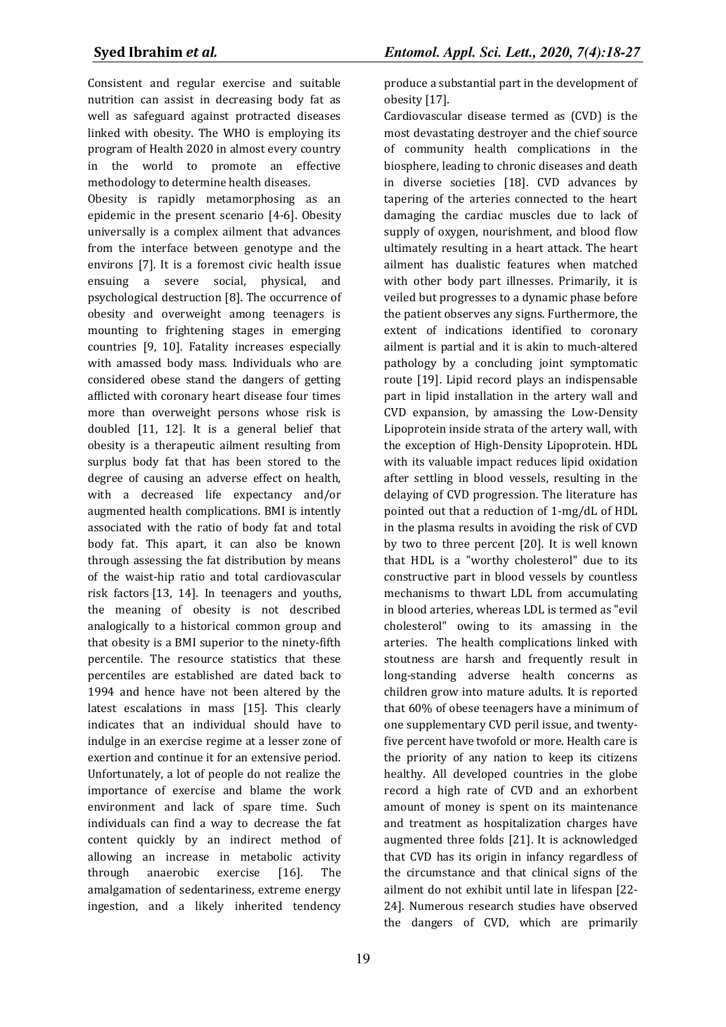Consistent and regular exercise and suitable nutrition can assist in decreasing body fat as well as safeguard against protracted diseases linked with obesity. The WHO is employing its program of Health 2020 in almost every country in the world to promote an effective methodology to determine health diseases.

Obesity is rapidly metamorphosing as an epidemic in the present scenario [4-6]. Obesity universally is a complex ailment that advances from the interface between genotype and the environs [7]. It is a foremost civic health issue ensuing a severe social, physical, and psychological destruction [8]. The occurrence of obesity and overweight among teenagers is mounting to frightening stages in emerging countries [9, 10]. Fatality increases especially with amassed body mass. Individuals who are considered obese stand the dangers of getting afflicted with coronary heart disease four times more than overweight persons whose risk is doubled [11, 12]. It is a general belief that obesity is a therapeutic ailment resulting from surplus body fat that has been stored to the degree of causing an adverse effect on health, with a decreased life expectancy and/or augmented health complications. BMI is intently associated with the ratio of body fat and total body fat. This apart, it can also be known through assessing the fat distribution by means of the waist-hip ratio and total cardiovascular risk factors [13, 14]. In teenagers and youths, the meaning of obesity is not described analogically to a historical common group and that obesity is a BMI superior to the ninety-fifth percentile. The resource statistics that these percentiles are established are dated back to 1994 and hence have not been altered by the latest escalations in mass [15]. This clearly indicates that an individual should have to indulge in an exercise regime at a lesser zone of exertion and continue it for an extensive period. Unfortunately, a lot of people do not realize the importance of exercise and blame the work environment and lack of spare time. Such individuals can find a way to decrease the fat content quickly by an indirect method of allowing an increase in metabolic activity through anaerobic exercise [16]. The amalgamation of sedentariness, extreme energy ingestion, and a likely inherited tendency produce a substantial part in the development of obesity [17].

Cardiovascular disease termed as (CVD) is the most devastating destroyer and the chief source of community health complications in the biosphere, leading to chronic diseases and death in diverse societies [18]. CVD advances by tapering of the arteries connected to the heart damaging the cardiac muscles due to lack of supply of oxygen, nourishment, and blood flow ultimately resulting in a heart attack. The heart ailment has dualistic features when matched with other body part illnesses. Primarily, it is veiled but progresses to a dynamic phase before the patient observes any signs. Furthermore, the extent of indications identified to coronary ailment is partial and it is akin to much-altered pathology by a concluding joint symptomatic route [19]. Lipid record plays an indispensable part in lipid installation in the artery wall and CVD expansion, by amassing the Low-Density Lipoprotein inside strata of the artery wall, with the exception of High-Density Lipoprotein. HDL with its valuable impact reduces lipid oxidation after settling in blood vessels, resulting in the delaying of CVD progression. The literature has pointed out that a reduction of 1-mg/dL of HDL in the plasma results in avoiding the risk of CVD by two to three percent [20]. It is well known that HDL is a "worthy cholesterol" due to its constructive part in blood vessels by countless mechanisms to thwart LDL from accumulating in blood arteries, whereas LDL is termed as "evil cholesterol" owing to its amassing in the arteries. The health complications linked with stoutness are harsh and frequently result in long-standing adverse health concerns as children grow into mature adults. It is reported that 60% of obese teenagers have a minimum of one supplementary CVD peril issue, and twentyfive percent have twofold or more. Health care is the priority of any nation to keep its citizens healthy. All developed countries in the globe record a high rate of CVD and an exhorbent amount of money is spent on its maintenance and treatment as hospitalization charges have augmented three folds [21]. It is acknowledged that CVD has its origin in infancy regardless of the circumstance and that clinical signs of the ailment do not exhibit until late in lifespan [22- 24]. Numerous research studies have observed the dangers of CVD, which are primarily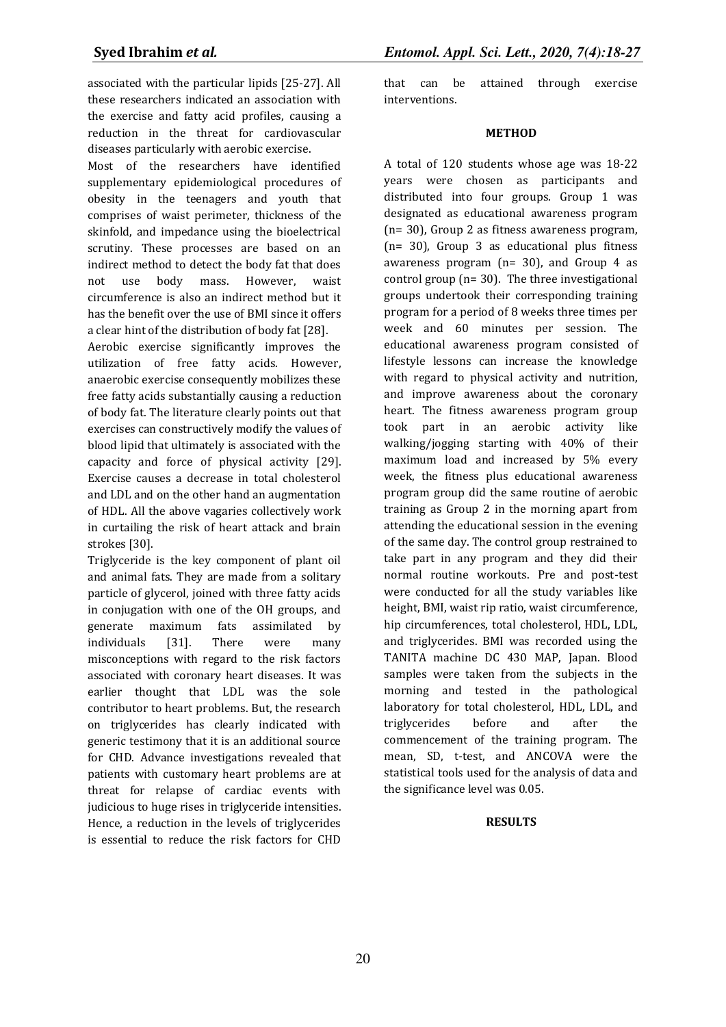associated with the particular lipids [25-27]. All these researchers indicated an association with the exercise and fatty acid profiles, causing a reduction in the threat for cardiovascular diseases particularly with aerobic exercise.

Most of the researchers have identified supplementary epidemiological procedures of obesity in the teenagers and youth that comprises of waist perimeter, thickness of the skinfold, and impedance using the bioelectrical scrutiny. These processes are based on an indirect method to detect the body fat that does not use body mass. However, waist circumference is also an indirect method but it has the benefit over the use of BMI since it offers a clear hint of the distribution of body fat [28].

Aerobic exercise significantly improves the utilization of free fatty acids. However, anaerobic exercise consequently mobilizes these free fatty acids substantially causing a reduction of body fat. The literature clearly points out that exercises can constructively modify the values of blood lipid that ultimately is associated with the capacity and force of physical activity [29]. Exercise causes a decrease in total cholesterol and LDL and on the other hand an augmentation of HDL. All the above vagaries collectively work in curtailing the risk of heart attack and brain strokes [30].

Triglyceride is the key component of plant oil and animal fats. They are made from a solitary particle of glycerol, joined with three fatty acids in conjugation with one of the OH groups, and generate maximum fats assimilated by individuals [31]. There were many misconceptions with regard to the risk factors associated with coronary heart diseases. It was earlier thought that LDL was the sole contributor to heart problems. But, the research on triglycerides has clearly indicated with generic testimony that it is an additional source for CHD. Advance investigations revealed that patients with customary heart problems are at threat for relapse of cardiac events with judicious to huge rises in triglyceride intensities. Hence, a reduction in the levels of triglycerides is essential to reduce the risk factors for CHD

that can be attained through exercise interventions.

## **METHOD**

A total of 120 students whose age was 18-22 years were chosen as participants and distributed into four groups. Group 1 was designated as educational awareness program (n= 30), Group 2 as fitness awareness program, (n= 30), Group 3 as educational plus fitness awareness program (n= 30), and Group 4 as control group (n= 30). The three investigational groups undertook their corresponding training program for a period of 8 weeks three times per week and 60 minutes per session. The educational awareness program consisted of lifestyle lessons can increase the knowledge with regard to physical activity and nutrition, and improve awareness about the coronary heart. The fitness awareness program group took part in an aerobic activity like walking/jogging starting with 40% of their maximum load and increased by 5% every week, the fitness plus educational awareness program group did the same routine of aerobic training as Group 2 in the morning apart from attending the educational session in the evening of the same day. The control group restrained to take part in any program and they did their normal routine workouts. Pre and post-test were conducted for all the study variables like height, BMI, waist rip ratio, waist circumference, hip circumferences, total cholesterol, HDL, LDL, and triglycerides. BMI was recorded using the TANITA machine DC 430 MAP, Japan. Blood samples were taken from the subjects in the morning and tested in the pathological laboratory for total cholesterol, HDL, LDL, and triglycerides before and after the commencement of the training program. The mean, SD, t-test, and ANCOVA were the statistical tools used for the analysis of data and the significance level was 0.05.

# **RESULTS**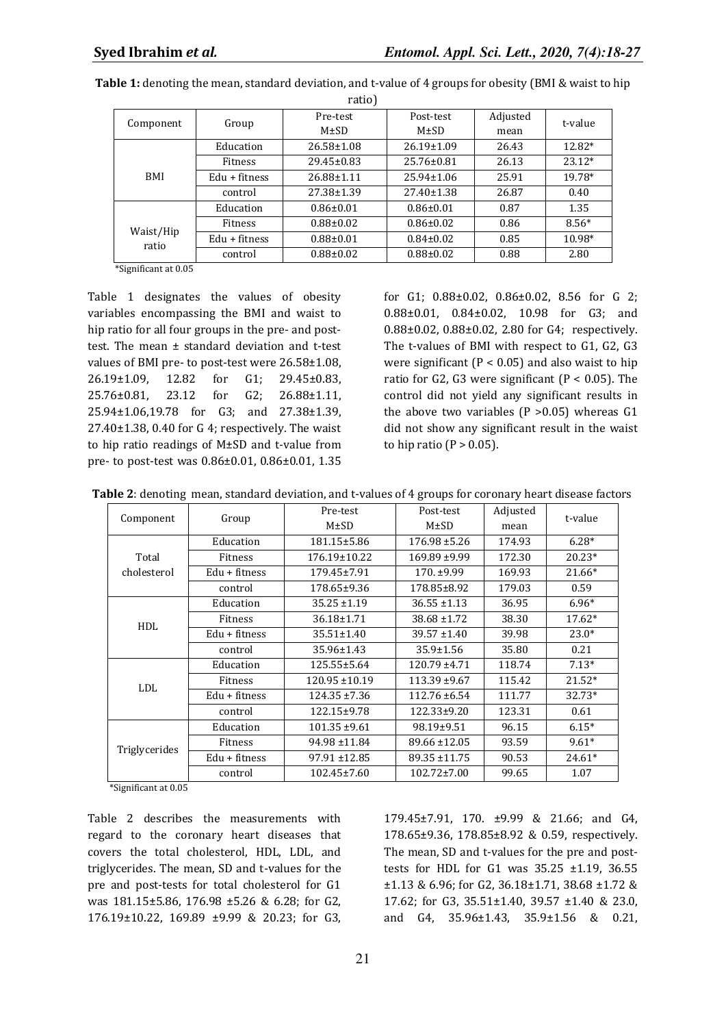|                    |                 | Pre-test         | Post-test        | Adjusted | t-value  |  |
|--------------------|-----------------|------------------|------------------|----------|----------|--|
| Component          | Group           | $M \pm SD$       | $M \pm SD$       |          |          |  |
|                    | Education       | $26.58 \pm 1.08$ | $26.19 \pm 1.09$ | 26.43    | 12.82*   |  |
|                    | Fitness         | 29.45±0.83       | 25.76±0.81       | 26.13    | $23.12*$ |  |
| <b>BMI</b>         | $Edu + fitness$ | 26.88±1.11       | $25.94 \pm 1.06$ | 25.91    | 19.78*   |  |
|                    | control         | 27.38±1.39       | 27.40±1.38       | 26.87    | 0.40     |  |
|                    | Education       | $0.86 \pm 0.01$  | $0.86 \pm 0.01$  | 0.87     | 1.35     |  |
| Waist/Hip<br>ratio | Fitness         | $0.88 \pm 0.02$  | $0.86 \pm 0.02$  | 0.86     | $8.56*$  |  |
|                    | $Edu + fitness$ | $0.88 + 0.01$    | $0.84 \pm 0.02$  | 0.85     | 10.98*   |  |
|                    | control         | $0.88 \pm 0.02$  | $0.88 \pm 0.02$  | 0.88     | 2.80     |  |

**Table 1:** denoting the mean, standard deviation, and t-value of 4 groups for obesity (BMI & waist to hip ratio)

\*Significant at 0.05

Table 1 designates the values of obesity variables encompassing the BMI and waist to hip ratio for all four groups in the pre- and posttest. The mean ± standard deviation and t-test values of BMI pre- to post-test were 26.58±1.08, 26.19±1.09, 12.82 for G1; 29.45±0.83, 25.76±0.81, 23.12 for G2; 26.88±1.11, 25.94±1.06,19.78 for G3; and 27.38±1.39, 27.40±1.38, 0.40 for G 4; respectively. The waist to hip ratio readings of M±SD and t-value from pre- to post-test was 0.86±0.01, 0.86±0.01, 1.35

for G1; 0.88±0.02, 0.86±0.02, 8.56 for G 2; 0.88±0.01, 0.84±0.02, 10.98 for G3; and 0.88±0.02, 0.88±0.02, 2.80 for G4; respectively. The t-values of BMI with respect to G1, G2, G3 were significant ( $P < 0.05$ ) and also waist to hip ratio for G2, G3 were significant ( $P < 0.05$ ). The control did not yield any significant results in the above two variables  $(P > 0.05)$  whereas  $G1$ did not show any significant result in the waist to hip ratio ( $P > 0.05$ ).

|  |  |  | Table 2: denoting mean, standard deviation, and t-values of 4 groups for coronary heart disease factors |
|--|--|--|---------------------------------------------------------------------------------------------------------|
|--|--|--|---------------------------------------------------------------------------------------------------------|

|               |                              | Pre-test           | Post-test         | Adjusted |          |  |
|---------------|------------------------------|--------------------|-------------------|----------|----------|--|
| Component     | Group                        | $M\pm SD$          | $M\pm SD$         | mean     | t-value  |  |
|               | Education                    | 181.15±5.86        | $176.98 \pm 5.26$ | 174.93   | $6.28*$  |  |
| Total         | <b>Fitness</b>               | 176.19±10.22       | $169.89 + 9.99$   | 172.30   | $20.23*$ |  |
| cholesterol   | Edu + fitness                | 179.45±7.91        | $170. \pm 9.99$   | 169.93   | $21.66*$ |  |
|               | control                      | 178.65±9.36        | 178.85±8.92       | 179.03   | 0.59     |  |
|               | Education                    | $35.25 \pm 1.19$   | $36.55 \pm 1.13$  | 36.95    | $6.96*$  |  |
| <b>HDL</b>    | Fitness                      | 36.18±1.71         | $38.68 \pm 1.72$  | 38.30    | 17.62*   |  |
|               | Edu + fitness                | $35.51 \pm 1.40$   | $39.57 \pm 1.40$  | 39.98    | $23.0*$  |  |
|               | control                      | 35.96±1.43         | 35.9±1.56         | 35.80    | 0.21     |  |
|               | Education                    | 125.55±5.64        | $120.79 \pm 4.71$ | 118.74   | $7.13*$  |  |
| <b>LDL</b>    | <b>Fitness</b>               | $120.95 \pm 10.19$ | $113.39 + 9.67$   | 115.42   | $21.52*$ |  |
|               | Edu + fitness                | $124.35 \pm 7.36$  | $112.76 \pm 6.54$ | 111.77   | 32.73*   |  |
|               | control                      | 122.15±9.78        | 122.33±9.20       | 123.31   | 0.61     |  |
| Triglycerides | Education                    | $101.35 \pm 9.61$  | 98.19±9.51        | 96.15    | $6.15*$  |  |
|               | Fitness                      | 94.98 ±11.84       | 89.66 ±12.05      | 93.59    | $9.61*$  |  |
|               | Edu + fitness                | 97.91 ±12.85       | 89.35 ±11.75      | 90.53    | $24.61*$ |  |
|               | $102.45 \pm 7.60$<br>control |                    | $102.72 \pm 7.00$ | 99.65    | 1.07     |  |

\*Significant at 0.05

Table 2 describes the measurements with regard to the coronary heart diseases that covers the total cholesterol, HDL, LDL, and triglycerides. The mean, SD and t-values for the pre and post-tests for total cholesterol for G1 was 181.15±5.86, 176.98 ±5.26 & 6.28; for G2, 176.19±10.22, 169.89 ±9.99 & 20.23; for G3,

179.45±7.91, 170. ±9.99 & 21.66; and G4, 178.65±9.36, 178.85±8.92 & 0.59, respectively. The mean, SD and t-values for the pre and posttests for HDL for G1 was 35.25 ±1.19, 36.55 ±1.13 & 6.96; for G2, 36.18±1.71, 38.68 ±1.72 & 17.62; for G3, 35.51±1.40, 39.57 ±1.40 & 23.0, and G4, 35.96±1.43, 35.9±1.56 & 0.21,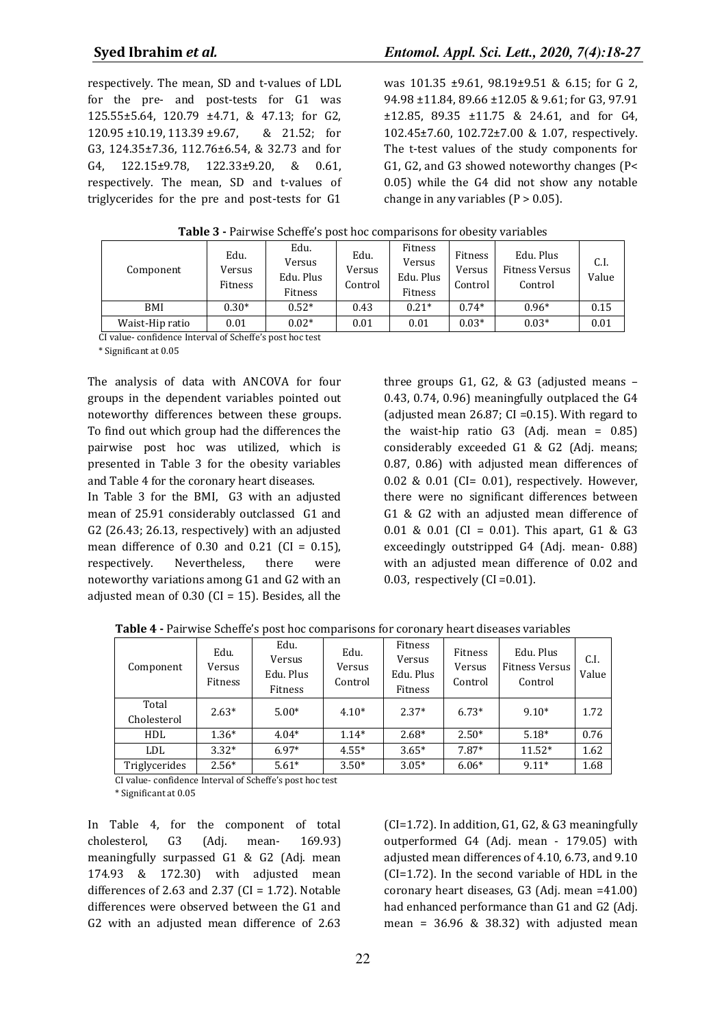respectively. The mean, SD and t-values of LDL for the pre- and post-tests for G1 was 125.55±5.64, 120.79 ±4.71, & 47.13; for G2, 120.95 ±10.19, 113.39 ±9.67, & 21.52; for G3, 124.35±7.36, 112.76±6.54, & 32.73 and for G4, 122.15±9.78, 122.33±9.20, & 0.61, respectively. The mean, SD and t-values of triglycerides for the pre and post-tests for G1

was 101.35 ±9.61, 98.19±9.51 & 6.15; for G 2, 94.98 ±11.84, 89.66 ±12.05 & 9.61; for G3, 97.91 ±12.85, 89.35 ±11.75 & 24.61, and for G4, 102.45±7.60, 102.72±7.00 & 1.07, respectively. The t-test values of the study components for G1, G2, and G3 showed noteworthy changes (P< 0.05) while the G4 did not show any notable change in any variables  $(P > 0.05)$ .

| Component       | Edu.<br>Versus<br>Fitness | Edu.<br>Versus<br>Edu. Plus<br>Fitness | Edu.<br>Versus<br>Control | Fitness<br>Versus<br>Edu. Plus<br>Fitness | Fitness<br>Versus<br>Control | Edu. Plus<br><b>Fitness Versus</b><br>Control | C.I.<br>Value |
|-----------------|---------------------------|----------------------------------------|---------------------------|-------------------------------------------|------------------------------|-----------------------------------------------|---------------|
| BMI             | $0.30*$                   | $0.52*$                                | 0.43                      | $0.21*$                                   | $0.74*$                      | $0.96*$                                       | 0.15          |
| Waist-Hip ratio | 0.01                      | $0.02*$                                | 0.01                      | 0.01                                      | $0.03*$                      | $0.03*$                                       | 0.01          |

**Table 3 -** Pairwise Scheffe's post hoc comparisons for obesity variables

CI value- confidence Interval of Scheffe's post hoc test

\* Significant at 0.05

The analysis of data with ANCOVA for four groups in the dependent variables pointed out noteworthy differences between these groups. To find out which group had the differences the pairwise post hoc was utilized, which is presented in Table 3 for the obesity variables and Table 4 for the coronary heart diseases.

In Table 3 for the BMI, G3 with an adjusted mean of 25.91 considerably outclassed G1 and G2 (26.43; 26.13, respectively) with an adjusted mean difference of  $0.30$  and  $0.21$  (CI =  $0.15$ ), respectively. Nevertheless, there were noteworthy variations among G1 and G2 with an adjusted mean of  $0.30$  (CI = 15). Besides, all the

three groups G1, G2, & G3 (adjusted means – 0.43, 0.74, 0.96) meaningfully outplaced the G4 (adjusted mean 26.87; CI =  $0.15$ ). With regard to the waist-hip ratio  $G3$  (Adj. mean = 0.85) considerably exceeded G1 & G2 (Adj. means; 0.87, 0.86) with adjusted mean differences of 0.02 & 0.01 (CI= 0.01), respectively. However, there were no significant differences between G1 & G2 with an adjusted mean difference of 0.01 & 0.01 (CI = 0.01). This apart, G1 & G3 exceedingly outstripped G4 (Adj. mean- 0.88) with an adjusted mean difference of 0.02 and 0.03, respectively (CI =  $0.01$ ).

| Component            | Edu.<br>Versus<br>Fitness | Edu.<br>Versus<br>Edu. Plus<br><b>Fitness</b> | Edu.<br>Versus<br>Control | Fitness<br>Versus<br>Edu. Plus<br>Fitness | Fitness<br>Versus<br>Control | Edu. Plus<br>Fitness Versus<br>Control | C.I.<br>Value |
|----------------------|---------------------------|-----------------------------------------------|---------------------------|-------------------------------------------|------------------------------|----------------------------------------|---------------|
| Total<br>Cholesterol | $2.63*$                   | $5.00*$                                       | $4.10*$                   | $2.37*$                                   | $6.73*$                      | $9.10*$                                | 1.72          |
| HDL                  | $1.36*$                   | $4.04*$                                       | $1.14*$                   | $2.68*$                                   | $2.50*$                      | $5.18*$                                | 0.76          |
| <b>LDL</b>           | $3.32*$                   | $6.97*$                                       | $4.55*$                   | $3.65*$                                   | $7.87*$                      | $11.52*$                               | 1.62          |
| Triglycerides        | $2.56*$                   | $5.61*$                                       | $3.50*$                   | $3.05*$                                   | $6.06*$                      | $9.11*$                                | 1.68          |

**Table 4 -** Pairwise Scheffe's post hoc comparisons for coronary heart diseases variables

CI value- confidence Interval of Scheffe's post hoc test \* Significant at 0.05

In Table 4, for the component of total cholesterol, G3 (Adj. mean- 169.93) meaningfully surpassed G1 & G2 (Adj. mean 174.93 & 172.30) with adjusted mean differences of 2.63 and 2.37 ( $CI = 1.72$ ). Notable differences were observed between the G1 and G2 with an adjusted mean difference of 2.63 (CI=1.72). In addition, G1, G2, & G3 meaningfully outperformed G4 (Adj. mean - 179.05) with adjusted mean differences of 4.10, 6.73, and 9.10 (CI=1.72). In the second variable of HDL in the coronary heart diseases, G3 (Adj. mean =41.00) had enhanced performance than G1 and G2 (Adj. mean =  $36.96$  &  $38.32$ ) with adjusted mean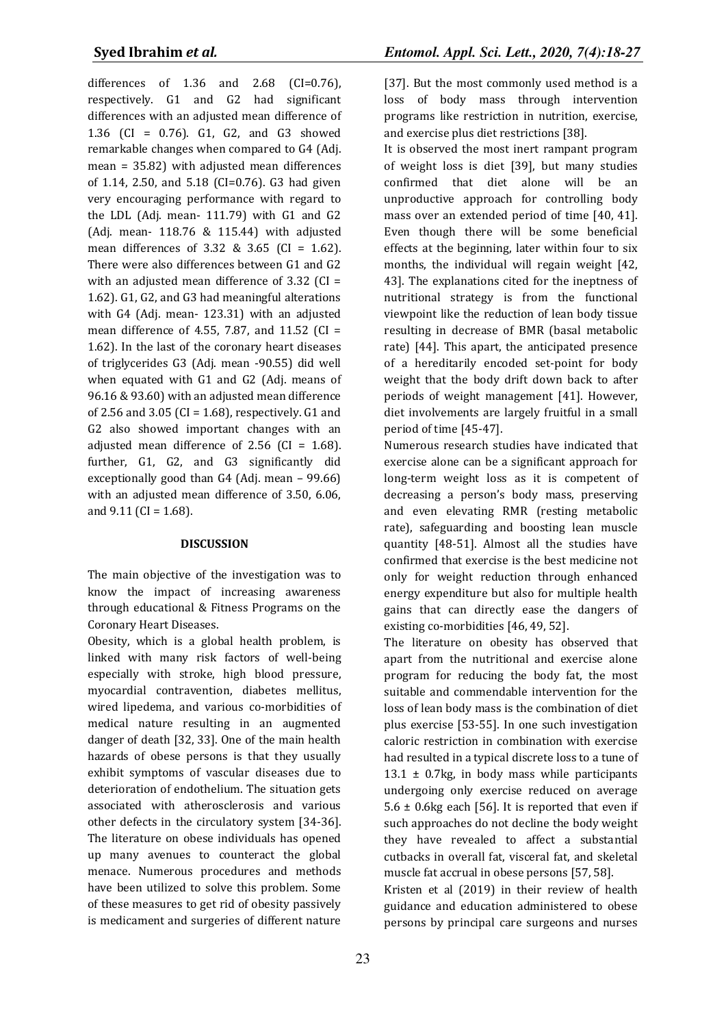differences of  $1.36$  and  $2.68$  (CI=0.76), respectively. G1 and G2 had significant differences with an adjusted mean difference of 1.36 (CI = 0.76). G1, G2, and G3 showed remarkable changes when compared to G4 (Adj. mean = 35.82) with adjusted mean differences of 1.14, 2.50, and 5.18 (CI=0.76). G3 had given very encouraging performance with regard to the LDL (Adj. mean- 111.79) with G1 and G2 (Adj. mean- 118.76 & 115.44) with adjusted mean differences of 3.32 & 3.65 (CI = 1.62). There were also differences between G1 and G2 with an adjusted mean difference of 3.32 (CI = 1.62). G1, G2, and G3 had meaningful alterations with G4 (Adj. mean- 123.31) with an adjusted mean difference of 4.55, 7.87, and 11.52 (CI = 1.62). In the last of the coronary heart diseases of triglycerides G3 (Adj. mean -90.55) did well when equated with G1 and G2 (Adj. means of 96.16 & 93.60) with an adjusted mean difference of 2.56 and 3.05 (CI =  $1.68$ ), respectively. G1 and G2 also showed important changes with an adjusted mean difference of 2.56 (CI = 1.68). further, G1, G2, and G3 significantly did exceptionally good than G4 (Adj. mean – 99.66) with an adjusted mean difference of 3.50, 6.06, and  $9.11$  (CI = 1.68).

#### **DISCUSSION**

The main objective of the investigation was to know the impact of increasing awareness through educational & Fitness Programs on the Coronary Heart Diseases.

Obesity, which is a global health problem, is linked with many risk factors of well-being especially with stroke, high blood pressure, myocardial contravention, diabetes mellitus, wired lipedema, and various co-morbidities of medical nature resulting in an augmented danger of death [32, 33]. One of the main health hazards of obese persons is that they usually exhibit symptoms of vascular diseases due to deterioration of endothelium. The situation gets associated with atherosclerosis and various other defects in the circulatory system [34-36]. The literature on obese individuals has opened up many avenues to counteract the global menace. Numerous procedures and methods have been utilized to solve this problem. Some of these measures to get rid of obesity passively is medicament and surgeries of different nature

[37]. But the most commonly used method is a loss of body mass through intervention programs like restriction in nutrition, exercise, and exercise plus diet restrictions [38].

It is observed the most inert rampant program of weight loss is diet [39], but many studies confirmed that diet alone will be an unproductive approach for controlling body mass over an extended period of time [40, 41]. Even though there will be some beneficial effects at the beginning, later within four to six months, the individual will regain weight [42, 43]. The explanations cited for the ineptness of nutritional strategy is from the functional viewpoint like the reduction of lean body tissue resulting in decrease of BMR (basal metabolic rate) [44]. This apart, the anticipated presence of a hereditarily encoded set-point for body weight that the body drift down back to after periods of weight management [41]. However, diet involvements are largely fruitful in a small period of time [45-47].

Numerous research studies have indicated that exercise alone can be a significant approach for long-term weight loss as it is competent of decreasing a person's body mass, preserving and even elevating RMR (resting metabolic rate), safeguarding and boosting lean muscle quantity [48-51]. Almost all the studies have confirmed that exercise is the best medicine not only for weight reduction through enhanced energy expenditure but also for multiple health gains that can directly ease the dangers of existing co-morbidities [46, 49, 52].

The literature on obesity has observed that apart from the nutritional and exercise alone program for reducing the body fat, the most suitable and commendable intervention for the loss of lean body mass is the combination of diet plus exercise [53-55]. In one such investigation caloric restriction in combination with exercise had resulted in a typical discrete loss to a tune of  $13.1 \pm 0.7$ kg, in body mass while participants undergoing only exercise reduced on average 5.6  $\pm$  0.6kg each [56]. It is reported that even if such approaches do not decline the body weight they have revealed to affect a substantial cutbacks in overall fat, visceral fat, and skeletal muscle fat accrual in obese persons [57, 58].

Kristen et al (2019) in their review of health guidance and education administered to obese persons by principal care surgeons and nurses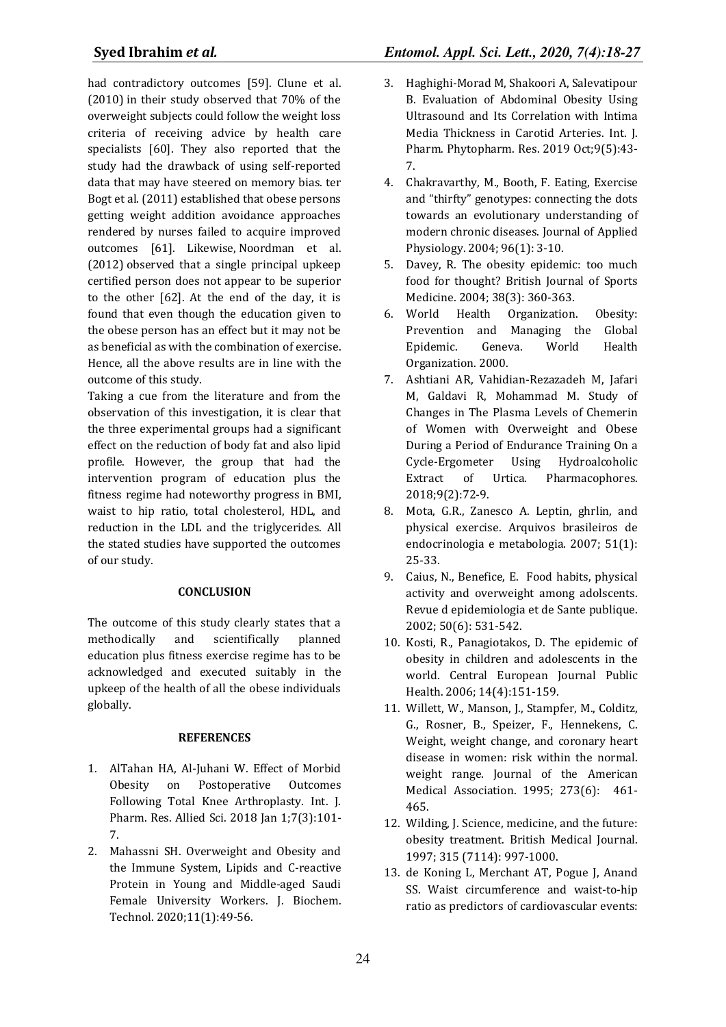had contradictory outcomes [59]. [Clune et al.](https://www.sciencedirect.com/science/article/pii/S2211335519300087#bb0065)  [\(2010\)](https://www.sciencedirect.com/science/article/pii/S2211335519300087#bb0065) in their study observed that 70% of the overweight subjects could follow the weight loss criteria of receiving advice by health care specialists [60]. They also reported that the study had the drawback of using self-reported data that may have steered on memory bias. [ter](https://www.sciencedirect.com/science/article/pii/S2211335519300087#bb0205)  [Bogt et al. \(2011\)](https://www.sciencedirect.com/science/article/pii/S2211335519300087#bb0205) established that obese persons getting weight addition avoidance approaches rendered by nurses failed to acquire improved outcomes [61]. Likewise, [Noordman et al.](https://www.sciencedirect.com/science/article/pii/S2211335519300087#bb0145)  [\(2012\)](https://www.sciencedirect.com/science/article/pii/S2211335519300087#bb0145) observed that a single principal upkeep certified person does not appear to be superior to the other [62]. At the end of the day, it is found that even though the education given to the obese person has an effect but it may not be as beneficial as with the combination of exercise. Hence, all the above results are in line with the outcome of this study.

Taking a cue from the literature and from the observation of this investigation, it is clear that the three experimental groups had a significant effect on the reduction of body fat and also lipid profile. However, the group that had the intervention program of education plus the fitness regime had noteworthy progress in BMI, waist to hip ratio, total cholesterol, HDL, and reduction in the LDL and the triglycerides. All the stated studies have supported the outcomes of our study.

# **CONCLUSION**

The outcome of this study clearly states that a methodically and scientifically planned education plus fitness exercise regime has to be acknowledged and executed suitably in the upkeep of the health of all the obese individuals globally.

#### **REFERENCES**

- 1. AlTahan HA, Al-Juhani W. Effect of Morbid Obesity on Postoperative Outcomes Following Total Knee Arthroplasty. Int. J. Pharm. Res. Allied Sci. 2018 Jan 1;7(3):101- 7.
- 2. Mahassni SH. Overweight and Obesity and the Immune System, Lipids and C-reactive Protein in Young and Middle-aged Saudi Female University Workers. J. Biochem. Technol. 2020;11(1):49-56.
- 3. Haghighi-Morad M, Shakoori A, Salevatipour B. Evaluation of Abdominal Obesity Using Ultrasound and Its Correlation with Intima Media Thickness in Carotid Arteries. Int. J. Pharm. Phytopharm. Res. 2019 Oct;9(5):43- 7.
- 4. Chakravarthy, M., Booth, F. Eating, Exercise and "thirfty" genotypes: connecting the dots towards an evolutionary understanding of modern chronic diseases. Journal of Applied Physiology. 2004; 96(1): 3-10.
- 5. Davey, R. The obesity epidemic: too much food for thought? British Journal of Sports Medicine. 2004; 38(3): 360-363.
- 6. World Health Organization. Obesity: Prevention and Managing the Global Epidemic. Geneva. World Health Organization. 2000.
- 7. Ashtiani AR, Vahidian-Rezazadeh M, Jafari M, Galdavi R, Mohammad M. Study of Changes in The Plasma Levels of Chemerin of Women with Overweight and Obese During a Period of Endurance Training On a Cycle-Ergometer Using Hydroalcoholic Extract of Urtica. Pharmacophores. 2018;9(2):72-9.
- 8. Mota, G.R., Zanesco A. Leptin, ghrlin, and physical exercise. Arquivos brasileiros de endocrinologia e metabologia. 2007; 51(1): 25-33.
- 9. Caius, N., Benefice, E. Food habits, physical activity and overweight among adolscents. Revue d epidemiologia et de Sante publique. 2002; 50(6): 531-542.
- 10. Kosti, R., Panagiotakos, D. The epidemic of obesity in children and adolescents in the world. Central European Journal Public Health. 2006; 14(4):151-159.
- 11. Willett, W., Manson, J., Stampfer, M., Colditz, G., Rosner, B., Speizer, F., Hennekens, C. Weight, weight change, and coronary heart disease in women: risk within the normal. weight range. Journal of the American Medical Association. 1995; 273(6): 461- 465.
- 12. Wilding, J. Science, medicine, and the future: obesity treatment. British Medical Journal. 1997; 315 (7114): 997-1000.
- 13. de Koning L, Merchant AT, Pogue J, Anand SS. Waist circumference and waist-to-hip ratio as predictors of cardiovascular events: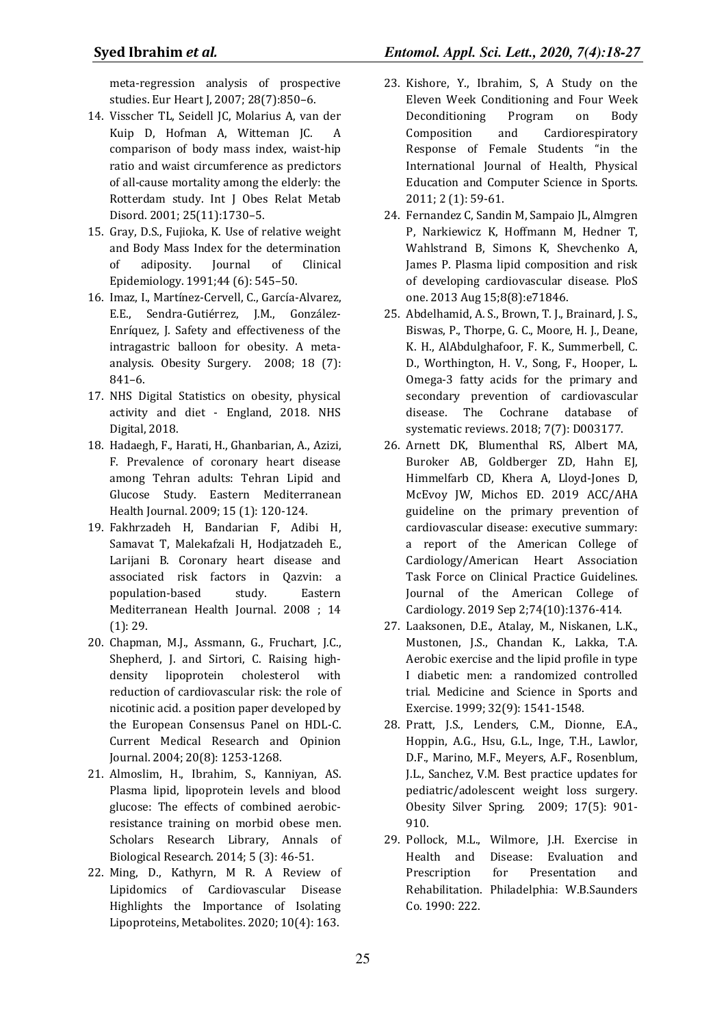meta-regression analysis of prospective studies. Eur Heart J, 2007; 28(7):850–6.

- 14. Visscher TL, Seidell JC, Molarius A, van der Kuip D, Hofman A, Witteman JC. A comparison of body mass index, waist-hip ratio and waist circumference as predictors of all-cause mortality among the elderly: the Rotterdam study. Int J Obes Relat Metab Disord. 2001; 25(11):1730–5.
- 15. Gray, D.S., Fujioka, K. Use of relative weight and Body Mass Index for the determination of adiposity. Journal of Clinical Epidemiology. 1991;44 (6): 545–50.
- 16. Imaz, I., Martínez-Cervell, C., García-Alvarez, E.E., Sendra-Gutiérrez, J.M., González-Enríquez, J. Safety and effectiveness of the intragastric balloon for obesity. A metaanalysis. Obesity Surgery. 2008; 18 (7): 841–6.
- 17. NHS Digital Statistics on obesity, physical activity and diet - England, 2018. NHS Digital, 2018.
- 18. Hadaegh, F., Harati, H., Ghanbarian, A., Azizi, F. Prevalence of coronary heart disease among Tehran adults: Tehran Lipid and Glucose Study. Eastern Mediterranean Health Journal. 2009; 15 (1): 120-124.
- 19. Fakhrzadeh H, Bandarian F, Adibi H, Samavat T, Malekafzali H, Hodjatzadeh E., Larijani B. Coronary heart disease and associated risk factors in Qazvin: a population-based study. Eastern Mediterranean Health Journal. 2008 ; 14 (1): 29.
- 20. Chapman, M.J., Assmann, G., Fruchart, J.C., Shepherd, J. and Sirtori, C. Raising highdensity lipoprotein cholesterol with reduction of cardiovascular risk: the role of nicotinic acid. a position paper developed by the European Consensus Panel on HDL-C. Current Medical Research and Opinion Journal. 2004; 20(8): 1253-1268.
- 21. Almoslim, H., Ibrahim, S., Kanniyan, AS. Plasma lipid, lipoprotein levels and blood glucose: The effects of combined aerobicresistance training on morbid obese men. Scholars Research Library, Annals of Biological Research. 2014; 5 (3): 46-51.
- 22. Ming, D., Kathyrn, M R. A Review of Lipidomics of Cardiovascular Disease Highlights the Importance of Isolating Lipoproteins, Metabolites. 2020; 10(4): 163.
- 23. Kishore, Y., Ibrahim, S, A Study on the Eleven Week Conditioning and Four Week Deconditioning Program on Body Composition and Cardiorespiratory Response of Female Students "in the International Journal of Health, Physical Education and Computer Science in Sports. 2011; 2 (1): 59-61.
- 24. Fernandez C, Sandin M, Sampaio JL, Almgren P, Narkiewicz K, Hoffmann M, Hedner T, Wahlstrand B, Simons K, Shevchenko A, James P. Plasma lipid composition and risk of developing cardiovascular disease. PloS one. 2013 Aug 15;8(8):e71846.
- 25. Abdelhamid, A. S., Brown, T. J., Brainard, J. S., Biswas, P., Thorpe, G. C., Moore, H. J., Deane, K. H., AlAbdulghafoor, F. K., Summerbell, C. D., Worthington, H. V., Song, F., Hooper, L. Omega-3 fatty acids for the primary and secondary prevention of cardiovascular disease. The Cochrane database of systematic reviews. 2018; 7(7): D003177.
- 26. Arnett DK, Blumenthal RS, Albert MA, Buroker AB, Goldberger ZD, Hahn EJ, Himmelfarb CD, Khera A, Lloyd-Jones D, McEvoy JW, Michos ED. 2019 ACC/AHA guideline on the primary prevention of cardiovascular disease: executive summary: a report of the American College of Cardiology/American Heart Association Task Force on Clinical Practice Guidelines. Journal of the American College of Cardiology. 2019 Sep 2;74(10):1376-414.
- 27. Laaksonen, D.E., Atalay, M., Niskanen, L.K., Mustonen, J.S., Chandan K., Lakka, T.A. Aerobic exercise and the lipid profile in type I diabetic men: a randomized controlled trial. Medicine and Science in Sports and Exercise. 1999; 32(9): 1541-1548.
- 28. Pratt, J.S., Lenders, C.M., Dionne, E.A., Hoppin, A.G., Hsu, G.L., Inge, T.H., Lawlor, D.F., Marino, M.F., Meyers, A.F., Rosenblum, J.L., Sanchez, V.M. Best practice updates for pediatric/adolescent weight loss surgery. Obesity Silver Spring. 2009; 17(5): 901- 910.
- 29. Pollock, M.L., Wilmore, J.H. Exercise in Health and Disease: Evaluation and Prescription for Presentation and Rehabilitation. Philadelphia: W.B.Saunders Co. 1990: 222.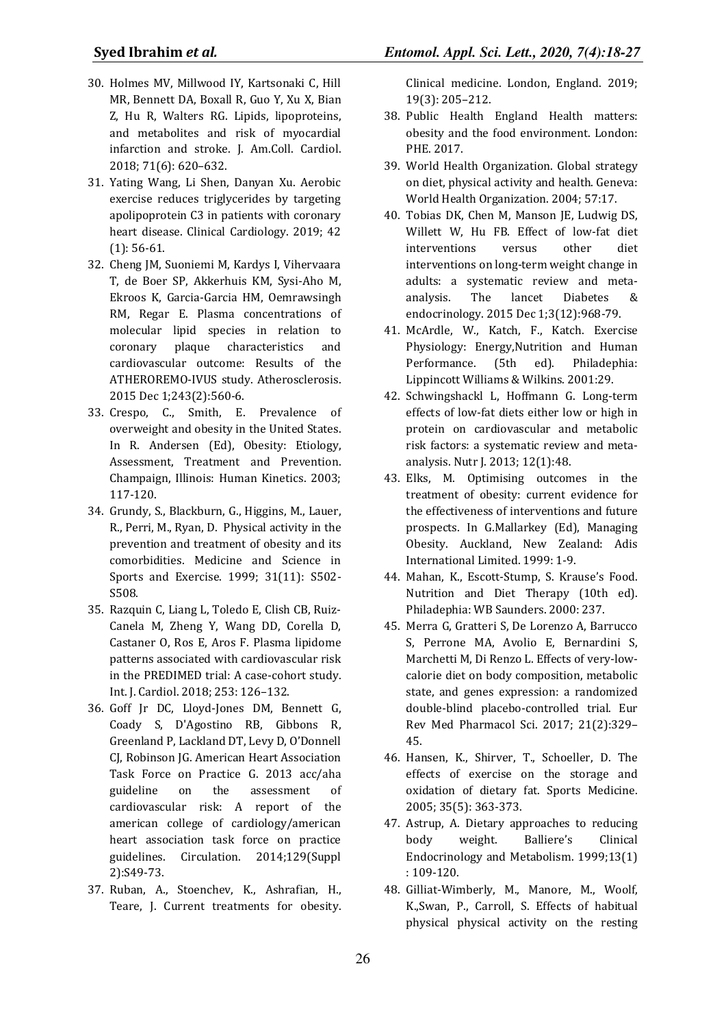- 30. Holmes MV, Millwood IY, Kartsonaki C, Hill MR, Bennett DA, Boxall R, Guo Y, Xu X, Bian Z, Hu R, Walters RG. Lipids, lipoproteins, and metabolites and risk of myocardial infarction and stroke. J. Am.Coll. Cardiol. 2018; 71(6): 620–632.
- 31. Yating Wang, Li Shen, Danyan Xu. Aerobic exercise reduces triglycerides by targeting apolipoprotein C3 in patients with coronary heart disease. Clinical Cardiology. 2019; 42 (1): 56-61.
- 32. Cheng JM, Suoniemi M, Kardys I, Vihervaara T, de Boer SP, Akkerhuis KM, Sysi-Aho M, Ekroos K, Garcia-Garcia HM, Oemrawsingh RM, Regar E. Plasma concentrations of molecular lipid species in relation to coronary plaque characteristics and cardiovascular outcome: Results of the ATHEROREMO-IVUS study. Atherosclerosis. 2015 Dec 1;243(2):560-6.
- 33. Crespo, C., Smith, E. Prevalence of overweight and obesity in the United States. In R. Andersen (Ed), Obesity: Etiology, Assessment, Treatment and Prevention. Champaign, Illinois: Human Kinetics. 2003; 117-120.
- 34. Grundy, S., Blackburn, G., Higgins, M., Lauer, R., Perri, M., Ryan, D. Physical activity in the prevention and treatment of obesity and its comorbidities. Medicine and Science in Sports and Exercise. 1999; 31(11): S502- S508.
- 35. Razquin C, Liang L, Toledo E, Clish CB, Ruiz-Canela M, Zheng Y, Wang DD, Corella D, Castaner O, Ros E, Aros F. Plasma lipidome patterns associated with cardiovascular risk in the PREDIMED trial: A case-cohort study. Int. J. Cardiol. 2018; 253: 126–132.
- 36. Goff Jr DC, Lloyd-Jones DM, Bennett G, Coady S, D'Agostino RB, Gibbons R, Greenland P, Lackland DT, Levy D, O'Donnell CJ, Robinson JG. American Heart Association Task Force on Practice G. 2013 acc/aha guideline on the assessment of cardiovascular risk: A report of the american college of cardiology/american heart association task force on practice guidelines. Circulation. 2014;129(Suppl 2):S49-73.
- 37. Ruban, A., Stoenchev, K., Ashrafian, H., Teare, J. Current treatments for obesity.

Clinical medicine. London, England. 2019; 19(3): 205–212.

- 38. Public Health England Health matters: obesity and the food environment. London: PHE. 2017.
- 39. World Health Organization. Global strategy on diet, physical activity and health. Geneva: World Health Organization. 2004; 57:17.
- 40. Tobias DK, Chen M, Manson JE, Ludwig DS, Willett W, Hu FB. Effect of low-fat diet interventions versus other diet interventions on long-term weight change in adults: a systematic review and metaanalysis. The lancet Diabetes & endocrinology. 2015 Dec 1;3(12):968-79.
- 41. McArdle, W., Katch, F., Katch. Exercise Physiology: Energy,Nutrition and Human Performance. (5th ed). Philadephia: Lippincott Williams & Wilkins. 2001:29.
- 42. Schwingshackl L, Hoffmann G. Long-term effects of low-fat diets either low or high in protein on cardiovascular and metabolic risk factors: a systematic review and metaanalysis. Nutr J. 2013; 12(1):48.
- 43. Elks, M. Optimising outcomes in the treatment of obesity: current evidence for the effectiveness of interventions and future prospects. In G.Mallarkey (Ed), Managing Obesity. Auckland, New Zealand: Adis International Limited. 1999: 1-9.
- 44. Mahan, K., Escott-Stump, S. Krause's Food. Nutrition and Diet Therapy (10th ed). Philadephia: WB Saunders. 2000: 237.
- 45. Merra G, Gratteri S, De Lorenzo A, Barrucco S, Perrone MA, Avolio E, Bernardini S, Marchetti M, Di Renzo L. Effects of very-lowcalorie diet on body composition, metabolic state, and genes expression: a randomized double-blind placebo-controlled trial. Eur Rev Med Pharmacol Sci. 2017; 21(2):329– 45.
- 46. Hansen, K., Shirver, T., Schoeller, D. The effects of exercise on the storage and oxidation of dietary fat. Sports Medicine. 2005; 35(5): 363-373.
- 47. Astrup, A. Dietary approaches to reducing body weight. Balliere's Clinical Endocrinology and Metabolism. 1999;13(1) : 109-120.
- 48. Gilliat-Wimberly, M., Manore, M., Woolf, K.,Swan, P., Carroll, S. Effects of habitual physical physical activity on the resting